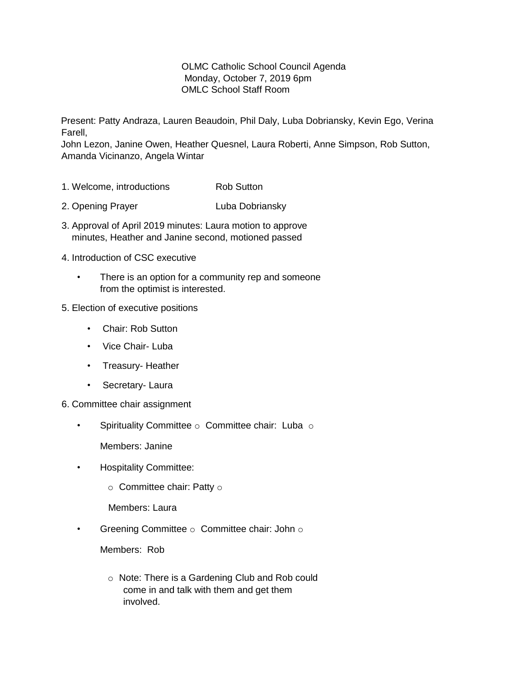## OLMC Catholic School Council Agenda Monday, October 7, 2019 6pm OMLC School Staff Room

Present: Patty Andraza, Lauren Beaudoin, Phil Daly, Luba Dobriansky, Kevin Ego, Verina Farell,

John Lezon, Janine Owen, Heather Quesnel, Laura Roberti, Anne Simpson, Rob Sutton, Amanda Vicinanzo, Angela Wintar

- 1. Welcome, introductions **Rob Sutton**
- 2. Opening Prayer **Luba Dobriansky**
- 3. Approval of April 2019 minutes: Laura motion to approve minutes, Heather and Janine second, motioned passed
- 4. Introduction of CSC executive
	- There is an option for a community rep and someone from the optimist is interested.
- 5. Election of executive positions
	- Chair: Rob Sutton
	- Vice Chair- Luba
	- Treasury- Heather
	- Secretary- Laura
- 6. Committee chair assignment
	- Spirituality Committee o Committee chair: Luba o

Members: Janine

- Hospitality Committee:
	- $\circ$  Committee chair: Patty  $\circ$

Members: Laura

• Greening Committee  $\circ$  Committee chair: John  $\circ$ 

Members: Rob

o Note: There is a Gardening Club and Rob could come in and talk with them and get them involved.